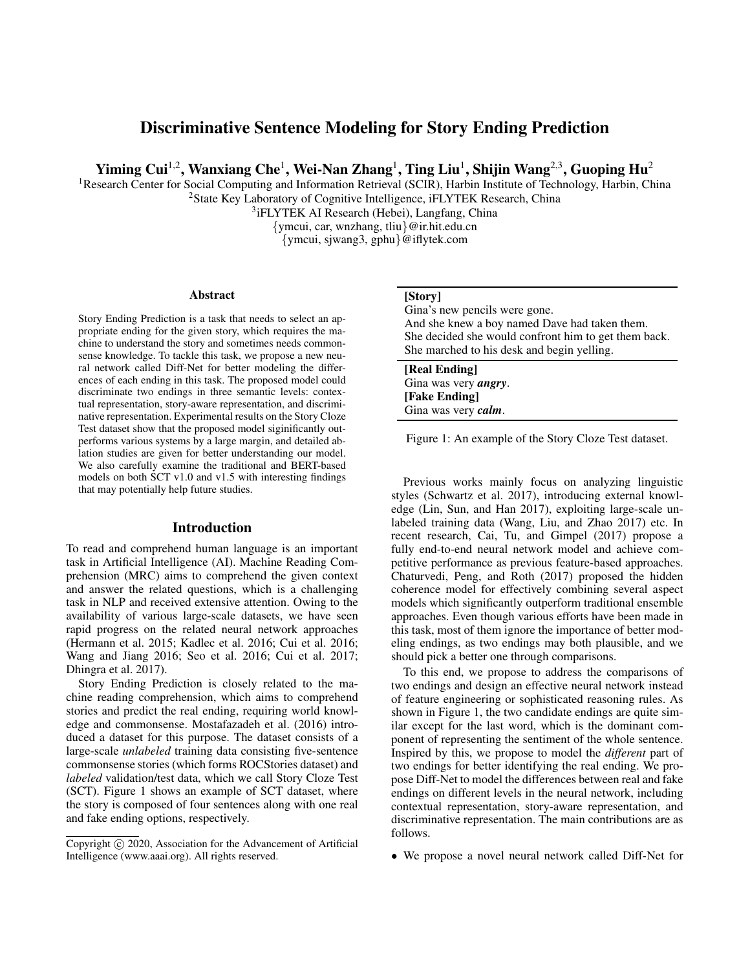# Discriminative Sentence Modeling for Story Ending Prediction

Yiming Cui<sup>1,2</sup>, Wanxiang Che<sup>1</sup>, Wei-Nan Zhang<sup>1</sup>, Ting Liu<sup>1</sup>, Shijin Wang<sup>2,3</sup>, Guoping Hu<sup>2</sup>

<sup>1</sup>Research Center for Social Computing and Information Retrieval (SCIR), Harbin Institute of Technology, Harbin, China <sup>2</sup>State Key Laboratory of Cognitive Intelligence, iFLYTEK Research, China

<sup>3</sup>iFLYTEK AI Research (Hebei), Langfang, China

{ymcui, car, wnzhang, tliu}@ir.hit.edu.cn {ymcui, sjwang3, gphu}@iflytek.com

#### **Abstract**

Story Ending Prediction is a task that needs to select an appropriate ending for the given story, which requires the machine to understand the story and sometimes needs commonsense knowledge. To tackle this task, we propose a new neural network called Diff-Net for better modeling the differences of each ending in this task. The proposed model could discriminate two endings in three semantic levels: contextual representation, story-aware representation, and discriminative representation. Experimental results on the Story Cloze Test dataset show that the proposed model siginificantly outperforms various systems by a large margin, and detailed ablation studies are given for better understanding our model. We also carefully examine the traditional and BERT-based models on both SCT v1.0 and v1.5 with interesting findings that may potentially help future studies.

# Introduction

To read and comprehend human language is an important task in Artificial Intelligence (AI). Machine Reading Comprehension (MRC) aims to comprehend the given context and answer the related questions, which is a challenging task in NLP and received extensive attention. Owing to the availability of various large-scale datasets, we have seen rapid progress on the related neural network approaches (Hermann et al. 2015; Kadlec et al. 2016; Cui et al. 2016; Wang and Jiang 2016; Seo et al. 2016; Cui et al. 2017; Dhingra et al. 2017).

Story Ending Prediction is closely related to the machine reading comprehension, which aims to comprehend stories and predict the real ending, requiring world knowledge and commonsense. Mostafazadeh et al. (2016) introduced a dataset for this purpose. The dataset consists of a large-scale *unlabeled* training data consisting five-sentence commonsense stories (which forms ROCStories dataset) and *labeled* validation/test data, which we call Story Cloze Test (SCT). Figure 1 shows an example of SCT dataset, where the story is composed of four sentences along with one real and fake ending options, respectively.

### [Story]

Gina's new pencils were gone. And she knew a boy named Dave had taken them. She decided she would confront him to get them back. She marched to his desk and begin yelling.

[Real Ending] Gina was very *angry*. [Fake Ending] Gina was very *calm*.

Figure 1: An example of the Story Cloze Test dataset.

Previous works mainly focus on analyzing linguistic styles (Schwartz et al. 2017), introducing external knowledge (Lin, Sun, and Han 2017), exploiting large-scale unlabeled training data (Wang, Liu, and Zhao 2017) etc. In recent research, Cai, Tu, and Gimpel (2017) propose a fully end-to-end neural network model and achieve competitive performance as previous feature-based approaches. Chaturvedi, Peng, and Roth (2017) proposed the hidden coherence model for effectively combining several aspect models which significantly outperform traditional ensemble approaches. Even though various efforts have been made in this task, most of them ignore the importance of better modeling endings, as two endings may both plausible, and we should pick a better one through comparisons.

To this end, we propose to address the comparisons of two endings and design an effective neural network instead of feature engineering or sophisticated reasoning rules. As shown in Figure 1, the two candidate endings are quite similar except for the last word, which is the dominant component of representing the sentiment of the whole sentence. Inspired by this, we propose to model the *different* part of two endings for better identifying the real ending. We propose Diff-Net to model the differences between real and fake endings on different levels in the neural network, including contextual representation, story-aware representation, and discriminative representation. The main contributions are as follows.

• We propose a novel neural network called Diff-Net for

Copyright (c) 2020, Association for the Advancement of Artificial Intelligence (www.aaai.org). All rights reserved.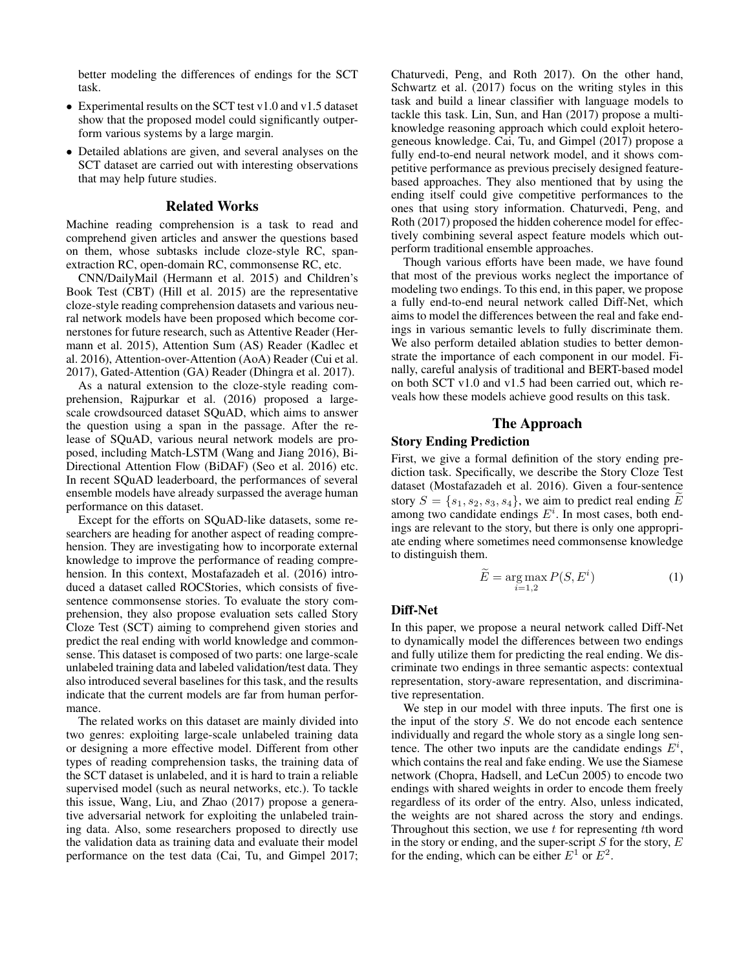better modeling the differences of endings for the SCT task.

- Experimental results on the SCT test v1.0 and v1.5 dataset show that the proposed model could significantly outperform various systems by a large margin.
- Detailed ablations are given, and several analyses on the SCT dataset are carried out with interesting observations that may help future studies.

### Related Works

Machine reading comprehension is a task to read and comprehend given articles and answer the questions based on them, whose subtasks include cloze-style RC, spanextraction RC, open-domain RC, commonsense RC, etc.

CNN/DailyMail (Hermann et al. 2015) and Children's Book Test (CBT) (Hill et al. 2015) are the representative cloze-style reading comprehension datasets and various neural network models have been proposed which become cornerstones for future research, such as Attentive Reader (Hermann et al. 2015), Attention Sum (AS) Reader (Kadlec et al. 2016), Attention-over-Attention (AoA) Reader (Cui et al. 2017), Gated-Attention (GA) Reader (Dhingra et al. 2017).

As a natural extension to the cloze-style reading comprehension, Rajpurkar et al. (2016) proposed a largescale crowdsourced dataset SQuAD, which aims to answer the question using a span in the passage. After the release of SQuAD, various neural network models are proposed, including Match-LSTM (Wang and Jiang 2016), Bi-Directional Attention Flow (BiDAF) (Seo et al. 2016) etc. In recent SQuAD leaderboard, the performances of several ensemble models have already surpassed the average human performance on this dataset.

Except for the efforts on SQuAD-like datasets, some researchers are heading for another aspect of reading comprehension. They are investigating how to incorporate external knowledge to improve the performance of reading comprehension. In this context, Mostafazadeh et al. (2016) introduced a dataset called ROCStories, which consists of fivesentence commonsense stories. To evaluate the story comprehension, they also propose evaluation sets called Story Cloze Test (SCT) aiming to comprehend given stories and predict the real ending with world knowledge and commonsense. This dataset is composed of two parts: one large-scale unlabeled training data and labeled validation/test data. They also introduced several baselines for this task, and the results indicate that the current models are far from human performance.

The related works on this dataset are mainly divided into two genres: exploiting large-scale unlabeled training data or designing a more effective model. Different from other types of reading comprehension tasks, the training data of the SCT dataset is unlabeled, and it is hard to train a reliable supervised model (such as neural networks, etc.). To tackle this issue, Wang, Liu, and Zhao (2017) propose a generative adversarial network for exploiting the unlabeled training data. Also, some researchers proposed to directly use the validation data as training data and evaluate their model performance on the test data (Cai, Tu, and Gimpel 2017;

Chaturvedi, Peng, and Roth 2017). On the other hand, Schwartz et al. (2017) focus on the writing styles in this task and build a linear classifier with language models to tackle this task. Lin, Sun, and Han (2017) propose a multiknowledge reasoning approach which could exploit heterogeneous knowledge. Cai, Tu, and Gimpel (2017) propose a fully end-to-end neural network model, and it shows competitive performance as previous precisely designed featurebased approaches. They also mentioned that by using the ending itself could give competitive performances to the ones that using story information. Chaturvedi, Peng, and Roth (2017) proposed the hidden coherence model for effectively combining several aspect feature models which outperform traditional ensemble approaches.

Though various efforts have been made, we have found that most of the previous works neglect the importance of modeling two endings. To this end, in this paper, we propose a fully end-to-end neural network called Diff-Net, which aims to model the differences between the real and fake endings in various semantic levels to fully discriminate them. We also perform detailed ablation studies to better demonstrate the importance of each component in our model. Finally, careful analysis of traditional and BERT-based model on both SCT v1.0 and v1.5 had been carried out, which reveals how these models achieve good results on this task.

# The Approach

#### Story Ending Prediction

First, we give a formal definition of the story ending prediction task. Specifically, we describe the Story Cloze Test dataset (Mostafazadeh et al. 2016). Given a four-sentence story  $S = \{s_1, s_2, s_3, s_4\}$ , we aim to predict real ending  $\widetilde{E}$ among two candidate endings  $E^i$ . In most cases, both endings are relevant to the story, but there is only one appropriate ending where sometimes need commonsense knowledge to distinguish them.

$$
\widetilde{E} = \underset{i=1,2}{\text{arg}\max} P(S, E^i) \tag{1}
$$

### Diff-Net

In this paper, we propose a neural network called Diff-Net to dynamically model the differences between two endings and fully utilize them for predicting the real ending. We discriminate two endings in three semantic aspects: contextual representation, story-aware representation, and discriminative representation.

We step in our model with three inputs. The first one is the input of the story S. We do not encode each sentence individually and regard the whole story as a single long sentence. The other two inputs are the candidate endings  $E^i$ , which contains the real and fake ending. We use the Siamese network (Chopra, Hadsell, and LeCun 2005) to encode two endings with shared weights in order to encode them freely regardless of its order of the entry. Also, unless indicated, the weights are not shared across the story and endings. Throughout this section, we use  $t$  for representing  $t$ th word in the story or ending, and the super-script  $S$  for the story,  $E$ for the ending, which can be either  $E^1$  or  $E^2$ .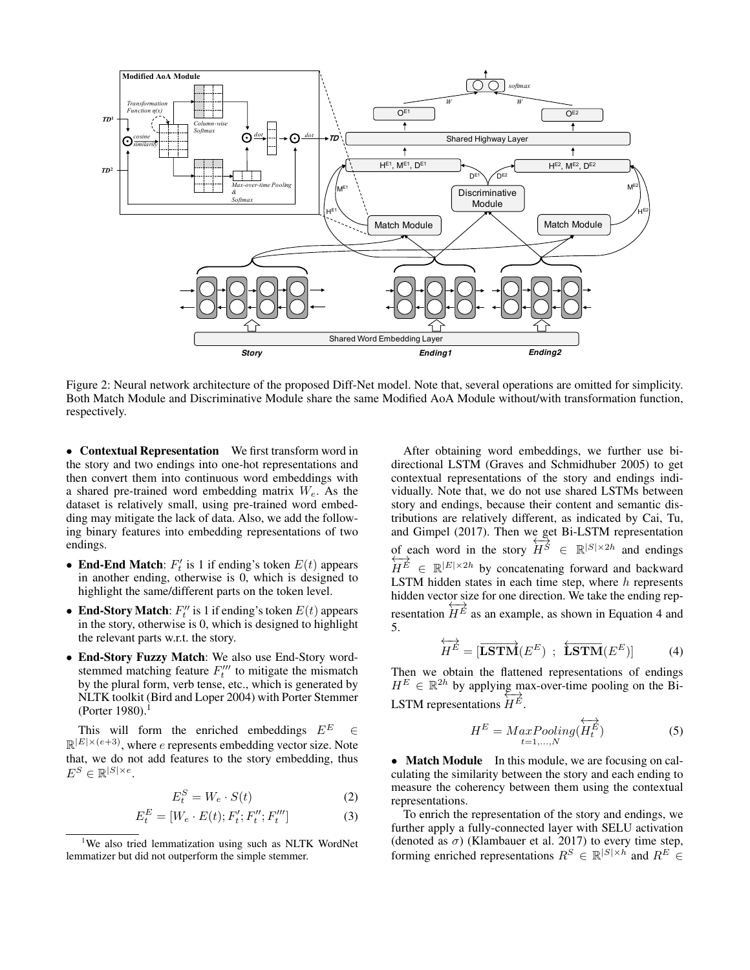

Figure 2: Neural network architecture of the proposed Diff-Net model. Note that, several operations are omitted for simplicity. Both Match Module and Discriminative Module share the same Modified AoA Module without/with transformation function, respectively.

• Contextual Representation We first transform word in the story and two endings into one-hot representations and then convert them into continuous word embeddings with a shared pre-trained word embedding matrix  $W_e$ . As the dataset is relatively small, using pre-trained word embedding may mitigate the lack of data. Also, we add the following binary features into embedding representations of two endings.

- End-End Match:  $F'_t$  is 1 if ending's token  $E(t)$  appears in another ending, otherwise is 0, which is designed to highlight the same/different parts on the token level.
- End-Story Match:  $F_t''$  is 1 if ending's token  $E(t)$  appears in the story, otherwise is 0, which is designed to highlight the relevant parts w.r.t. the story.
- End-Story Fuzzy Match: We also use End-Story wordstemmed matching feature  $F_t^{\prime\prime\prime}$  to mitigate the mismatch by the plural form, verb tense, etc., which is generated by NLTK toolkit (Bird and Loper 2004) with Porter Stemmer  $(Porter 1980).<sup>1</sup>$

This will form the enriched embeddings  $E^E$  $\mathbb{R}^{|E| \times (e+3)}$ , where e represents embedding vector size. Note that, we do not add features to the story embedding, thus  $E^S \in \mathbb{R}^{|S| \times e}$ .

$$
E_t^S = W_e \cdot S(t) \tag{2}
$$

$$
E_t^E = [W_e \cdot E(t); F_t'; F_t'''; F_t''']
$$
\n(3)

After obtaining word embeddings, we further use bidirectional LSTM (Graves and Schmidhuber 2005) to get contextual representations of the story and endings individually. Note that, we do not use shared LSTMs between story and endings, because their content and semantic distributions are relatively different, as indicated by Cai, Tu, and Gimpel (2017). Then we get Bi-LSTM representation of each word in the story of each word in the story  $H^S \in \mathbb{R}^{|S| \times 2h}$  and endings  $H^E \in \mathbb{R}^{|E| \times 2h}$  by concatenating forward and backward LSTM hidden states in each time step, where  $h$  represents hidden vector size for one direction. We take the ending representation  $\frac{\partial}{\partial H} E$  as an example, as shown in Equation 4 and 5.

$$
\overleftrightarrow{H^E} = [\overrightarrow{\textbf{LSTM}}(E^E) \; ; \; \overleftrightarrow{\textbf{LSTM}}(E^E)] \tag{4}
$$

Then we obtain the flattened representations of endings  $H^E \in \mathbb{R}^{2h}$  by applying max-over-time pooling on the Bi-LSTM representations  $\overleftrightarrow{H^E}$ .

$$
H^{E} = MaxPooling(\overleftrightarrow{H_{t}^{E}})
$$
 (5)

• **Match Module** In this module, we are focusing on calculating the similarity between the story and each ending to measure the coherency between them using the contextual representations.

To enrich the representation of the story and endings, we further apply a fully-connected layer with SELU activation (denoted as  $\sigma$ ) (Klambauer et al. 2017) to every time step, forming enriched representations  $R^S \in \mathbb{R}^{|S| \times h}$  and  $R^E \in$ 

<sup>&</sup>lt;sup>1</sup>We also tried lemmatization using such as NLTK WordNet lemmatizer but did not outperform the simple stemmer.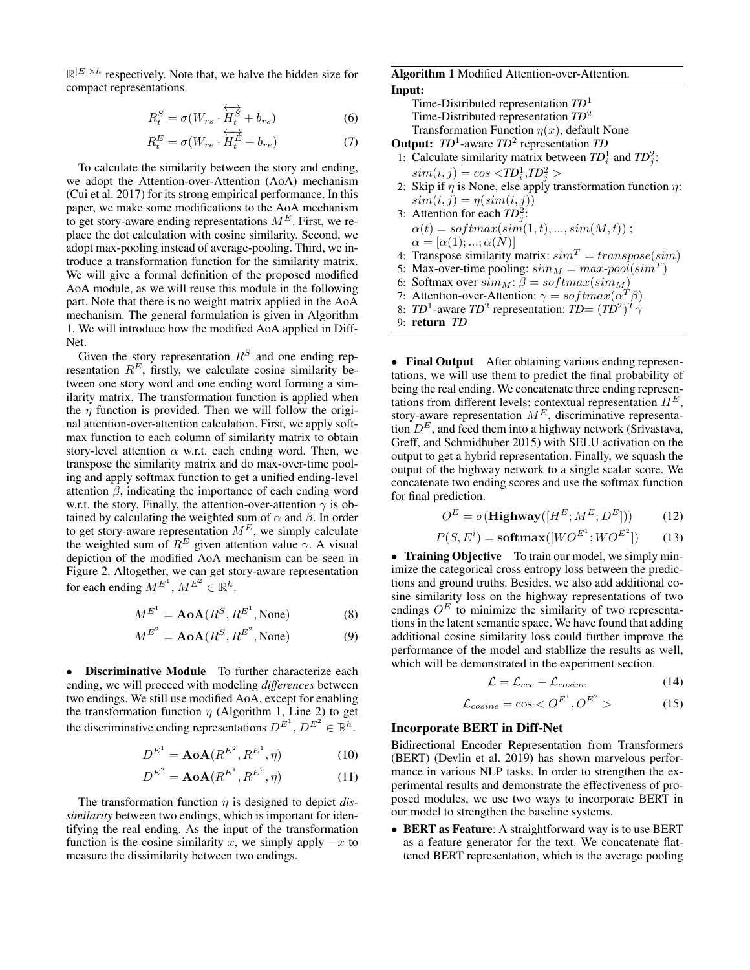$\mathbb{R}^{|E| \times h}$  respectively. Note that, we halve the hidden size for compact representations.

$$
R_t^S = \sigma(W_{rs} \cdot \overleftrightarrow{H_t^S} + b_{rs})
$$
 (6)

$$
R_t^E = \sigma(W_{re} \cdot \overleftrightarrow{H_t^E} + b_{re})
$$
 (7)

To calculate the similarity between the story and ending, we adopt the Attention-over-Attention (AoA) mechanism (Cui et al. 2017) for its strong empirical performance. In this paper, we make some modifications to the AoA mechanism to get story-aware ending representations  $M<sup>E</sup>$ . First, we replace the dot calculation with cosine similarity. Second, we adopt max-pooling instead of average-pooling. Third, we introduce a transformation function for the similarity matrix. We will give a formal definition of the proposed modified AoA module, as we will reuse this module in the following part. Note that there is no weight matrix applied in the AoA mechanism. The general formulation is given in Algorithm 1. We will introduce how the modified AoA applied in Diff-Net.

Given the story representation  $R<sup>S</sup>$  and one ending representation  $R<sup>E</sup>$ , firstly, we calculate cosine similarity between one story word and one ending word forming a similarity matrix. The transformation function is applied when the  $\eta$  function is provided. Then we will follow the original attention-over-attention calculation. First, we apply softmax function to each column of similarity matrix to obtain story-level attention  $\alpha$  w.r.t. each ending word. Then, we transpose the similarity matrix and do max-over-time pooling and apply softmax function to get a unified ending-level attention  $\beta$ , indicating the importance of each ending word w.r.t. the story. Finally, the attention-over-attention  $\gamma$  is obtained by calculating the weighted sum of  $\alpha$  and  $\beta$ . In order to get story-aware representation  $M^E$ , we simply calculate the weighted sum of  $R^E$  given attention value  $\gamma$ . A visual depiction of the modified AoA mechanism can be seen in Figure 2. Altogether, we can get story-aware representation for each ending  $M^{E^1}$ ,  $M^{E^2} \in \mathbb{R}^h$ .

$$
M^{E^1} = \mathbf{AoA}(R^S, R^{E^1}, \text{None})
$$
 (8)

$$
M^{E^2} = \mathbf{AoA}(R^S, R^{E^2}, \text{None})
$$
 (9)

• Discriminative Module To further characterize each ending, we will proceed with modeling *differences* between two endings. We still use modified AoA, except for enabling the transformation function  $\eta$  (Algorithm 1, Line 2) to get the discriminative ending representations  $D^{E^1}$ ,  $D^{E^2} \in \mathbb{R}^h$ .

$$
D^{E^1} = \mathbf{AoA}(R^{E^2}, R^{E^1}, \eta) \tag{10}
$$

$$
D^{E^2} = \mathbf{AoA}(R^{E^1}, R^{E^2}, \eta) \tag{11}
$$

The transformation function  $\eta$  is designed to depict *dissimilarity* between two endings, which is important for identifying the real ending. As the input of the transformation function is the cosine similarity x, we simply apply  $-x$  to measure the dissimilarity between two endings.

### Algorithm 1 Modified Attention-over-Attention.

Input:

Time-Distributed representation *TD*<sup>1</sup> Time-Distributed representation *TD*<sup>2</sup> Transformation Function  $\eta(x)$ , default None

Output: *TD*<sup>1</sup> -aware *TD*<sup>2</sup> representation *TD*

- 1: Calculate similarity matrix between  $TD_i^1$  and  $TD_j^2$ .  $\textit{sim}(i, j) = \textit{cos} \langle \textit{TD}^{1}_{i}, \textit{TD}^{2}_{j} \rangle$
- 2: Skip if  $\eta$  is None, else apply transformation function  $\eta$ :  $sim(i, j) = \eta(sim(i, j))$
- 3: Attention for each  $TD_j^2$ :  $\alpha(t) = softmax(sim(1, t), ..., sim(M, t));$  $\alpha = [\alpha(1); \ldots; \alpha(N)]$
- 4: Transpose similarity matrix:  $sim^T = transpose(sim)$
- 5: Max-over-time pooling:  $sim_M = max-pool(sim^T)$
- 6: Softmax over  $sim_M$ :  $\beta = softmax(sim_M)$
- 7: Attention-over-Attention:  $\gamma = softmax(\alpha^T \beta)$
- 8: *TD*<sup>1</sup>-aware *TD*<sup>2</sup> representation: *TD*=  $(TD^2)^T \gamma$

9: return 
$$
TD
$$

• Final Output After obtaining various ending representations, we will use them to predict the final probability of being the real ending. We concatenate three ending representations from different levels: contextual representation  $H^E$ , story-aware representation  $M^E$ , discriminative representation  $D^E$ , and feed them into a highway network (Srivastava, Greff, and Schmidhuber 2015) with SELU activation on the output to get a hybrid representation. Finally, we squash the output of the highway network to a single scalar score. We concatenate two ending scores and use the softmax function for final prediction.

$$
O^{E} = \sigma(\mathbf{Highway}([H^{E}; M^{E}; D^{E}]))
$$
 (12)

$$
P(S, Ei) = \mathbf{softmax}([WO^{E^{1}};WO^{E^{2}}])
$$
 (13)

• Training Objective To train our model, we simply minimize the categorical cross entropy loss between the predictions and ground truths. Besides, we also add additional cosine similarity loss on the highway representations of two endings  $O<sup>E</sup>$  to minimize the similarity of two representations in the latent semantic space. We have found that adding additional cosine similarity loss could further improve the performance of the model and stabllize the results as well, which will be demonstrated in the experiment section.

$$
\mathcal{L} = \mathcal{L}_{cce} + \mathcal{L}_{cosine} \tag{14}
$$

$$
\mathcal{L}_{cosine} = \cos < O^{E^1}, O^{E^2} > \tag{15}
$$

### Incorporate BERT in Diff-Net

Bidirectional Encoder Representation from Transformers (BERT) (Devlin et al. 2019) has shown marvelous performance in various NLP tasks. In order to strengthen the experimental results and demonstrate the effectiveness of proposed modules, we use two ways to incorporate BERT in our model to strengthen the baseline systems.

• BERT as Feature: A straightforward way is to use BERT as a feature generator for the text. We concatenate flattened BERT representation, which is the average pooling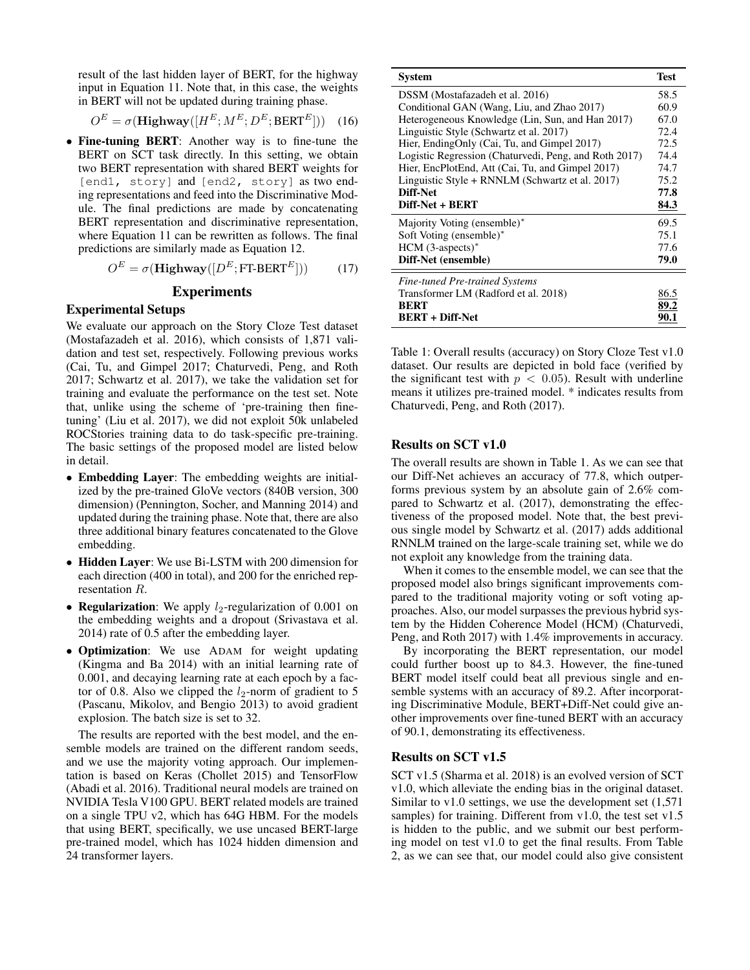result of the last hidden layer of BERT, for the highway input in Equation 11. Note that, in this case, the weights in BERT will not be updated during training phase.

$$
O^{E} = \sigma(\mathbf{Highway}([H^{E}; M^{E}; D^{E}; BERT^{E}])) \quad (16)
$$

• Fine-tuning BERT: Another way is to fine-tune the BERT on SCT task directly. In this setting, we obtain two BERT representation with shared BERT weights for [end1, story] and [end2, story] as two ending representations and feed into the Discriminative Module. The final predictions are made by concatenating BERT representation and discriminative representation, where Equation 11 can be rewritten as follows. The final predictions are similarly made as Equation 12.

$$
O^{E} = \sigma(\mathbf{Highway}([D^{E}; \mathsf{FT-BERT}^{E}])) \tag{17}
$$

### Experiments

### Experimental Setups

We evaluate our approach on the Story Cloze Test dataset (Mostafazadeh et al. 2016), which consists of 1,871 validation and test set, respectively. Following previous works (Cai, Tu, and Gimpel 2017; Chaturvedi, Peng, and Roth 2017; Schwartz et al. 2017), we take the validation set for training and evaluate the performance on the test set. Note that, unlike using the scheme of 'pre-training then finetuning' (Liu et al. 2017), we did not exploit 50k unlabeled ROCStories training data to do task-specific pre-training. The basic settings of the proposed model are listed below in detail.

- Embedding Layer: The embedding weights are initialized by the pre-trained GloVe vectors (840B version, 300 dimension) (Pennington, Socher, and Manning 2014) and updated during the training phase. Note that, there are also three additional binary features concatenated to the Glove embedding.
- Hidden Laver: We use Bi-LSTM with 200 dimension for each direction (400 in total), and 200 for the enriched representation R.
- Regularization: We apply  $l_2$ -regularization of 0.001 on the embedding weights and a dropout (Srivastava et al. 2014) rate of 0.5 after the embedding layer.
- Optimization: We use ADAM for weight updating (Kingma and Ba 2014) with an initial learning rate of 0.001, and decaying learning rate at each epoch by a factor of 0.8. Also we clipped the  $l_2$ -norm of gradient to 5 (Pascanu, Mikolov, and Bengio 2013) to avoid gradient explosion. The batch size is set to 32.

The results are reported with the best model, and the ensemble models are trained on the different random seeds, and we use the majority voting approach. Our implementation is based on Keras (Chollet 2015) and TensorFlow (Abadi et al. 2016). Traditional neural models are trained on NVIDIA Tesla V100 GPU. BERT related models are trained on a single TPU v2, which has 64G HBM. For the models that using BERT, specifically, we use uncased BERT-large pre-trained model, which has 1024 hidden dimension and 24 transformer layers.

| <b>System</b>                                         | <b>Test</b> |
|-------------------------------------------------------|-------------|
| DSSM (Mostafazadeh et al. 2016)                       | 58.5        |
| Conditional GAN (Wang, Liu, and Zhao 2017)            | 60.9        |
| Heterogeneous Knowledge (Lin, Sun, and Han 2017)      | 67.0        |
| Linguistic Style (Schwartz et al. 2017)               | 72.4        |
| Hier, EndingOnly (Cai, Tu, and Gimpel 2017)           | 72.5        |
| Logistic Regression (Chaturvedi, Peng, and Roth 2017) | 74.4        |
| Hier, EncPlotEnd, Att (Cai, Tu, and Gimpel 2017)      | 74.7        |
| Linguistic Style + RNNLM (Schwartz et al. 2017)       | 75.2        |
| Diff-Net                                              | 77.8        |
| Diff-Net + BERT                                       | 84.3        |
| Majority Voting (ensemble)*                           | 69.5        |
| Soft Voting (ensemble)*                               | 75.1        |
| $HCM$ (3-aspects)*                                    | 77.6        |
| Diff-Net (ensemble)                                   | 79.0        |
| <b>Fine-tuned Pre-trained Systems</b>                 |             |
| Transformer LM (Radford et al. 2018)                  | 86.5        |
| <b>BERT</b>                                           | 89.2        |
| <b>BERT + Diff-Net</b>                                | 90.1        |

Table 1: Overall results (accuracy) on Story Cloze Test v1.0 dataset. Our results are depicted in bold face (verified by the significant test with  $p < 0.05$ ). Result with underline means it utilizes pre-trained model. \* indicates results from Chaturvedi, Peng, and Roth (2017).

## Results on SCT v1.0

The overall results are shown in Table 1. As we can see that our Diff-Net achieves an accuracy of 77.8, which outperforms previous system by an absolute gain of 2.6% compared to Schwartz et al. (2017), demonstrating the effectiveness of the proposed model. Note that, the best previous single model by Schwartz et al. (2017) adds additional RNNLM trained on the large-scale training set, while we do not exploit any knowledge from the training data.

When it comes to the ensemble model, we can see that the proposed model also brings significant improvements compared to the traditional majority voting or soft voting approaches. Also, our model surpasses the previous hybrid system by the Hidden Coherence Model (HCM) (Chaturvedi, Peng, and Roth 2017) with 1.4% improvements in accuracy.

By incorporating the BERT representation, our model could further boost up to 84.3. However, the fine-tuned BERT model itself could beat all previous single and ensemble systems with an accuracy of 89.2. After incorporating Discriminative Module, BERT+Diff-Net could give another improvements over fine-tuned BERT with an accuracy of 90.1, demonstrating its effectiveness.

### Results on SCT v1.5

SCT v1.5 (Sharma et al. 2018) is an evolved version of SCT v1.0, which alleviate the ending bias in the original dataset. Similar to v1.0 settings, we use the development set (1,571 samples) for training. Different from v1.0, the test set v1.5 is hidden to the public, and we submit our best performing model on test v1.0 to get the final results. From Table 2, as we can see that, our model could also give consistent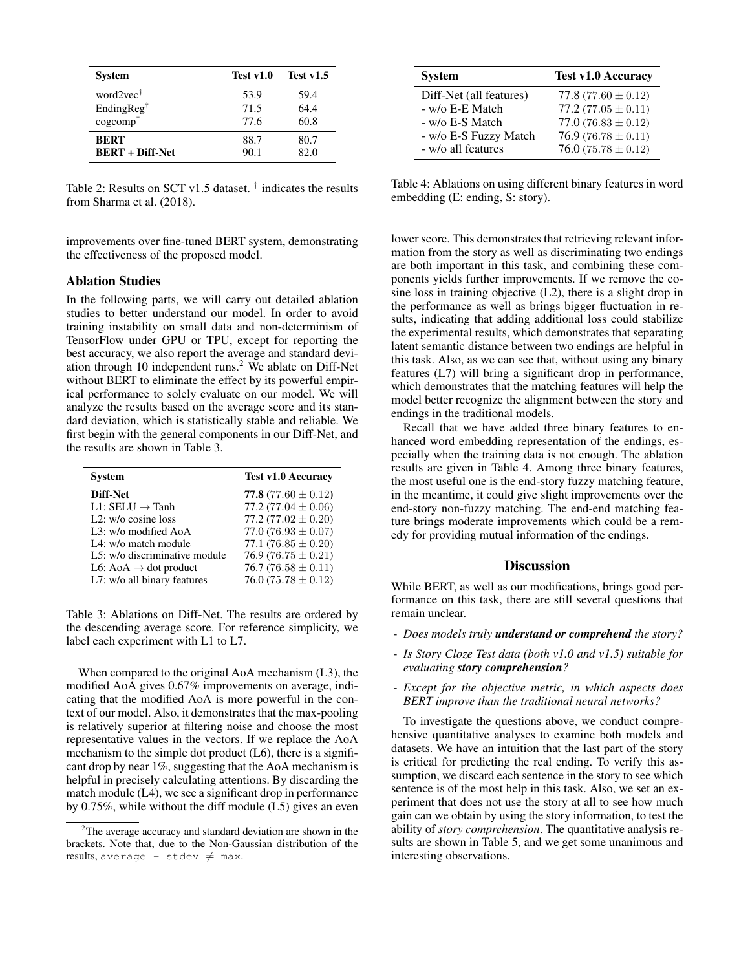| <b>System</b>             | Test v1.0 | Test $v1.5$ |
|---------------------------|-----------|-------------|
| word $2$ vec <sup>†</sup> | 53.9      | 59.4        |
| EndingReg <sup>†</sup>    | 71.5      | 64.4        |
| $cogcomp^{\dagger}$       | 77.6      | 60.8        |
| <b>RERT</b>               | 88.7      | 80.7        |
| <b>BERT + Diff-Net</b>    | 90.1      | 82.0        |

Table 2: Results on SCT v1.5 dataset. † indicates the results from Sharma et al. (2018).

improvements over fine-tuned BERT system, demonstrating the effectiveness of the proposed model.

### Ablation Studies

In the following parts, we will carry out detailed ablation studies to better understand our model. In order to avoid training instability on small data and non-determinism of TensorFlow under GPU or TPU, except for reporting the best accuracy, we also report the average and standard deviation through 10 independent runs.<sup>2</sup> We ablate on Diff-Net without BERT to eliminate the effect by its powerful empirical performance to solely evaluate on our model. We will analyze the results based on the average score and its standard deviation, which is statistically stable and reliable. We first begin with the general components in our Diff-Net, and the results are shown in Table 3.

| <b>System</b>                     | <b>Test v1.0 Accuracy</b> |
|-----------------------------------|---------------------------|
| Diff-Net                          | 77.8 $(77.60 \pm 0.12)$   |
| $L1: SELU \rightarrow$ Tanh       | 77.2 $(77.04 \pm 0.06)$   |
| $L2$ : w/o cosine loss            | 77.2 $(77.02 \pm 0.20)$   |
| L3: w/o modified AoA              | 77.0 $(76.93 \pm 0.07)$   |
| L4: w/o match module              | 77.1 $(76.85 \pm 0.20)$   |
| L5: w/o discriminative module     | 76.9 (76.75 $\pm$ 0.21)   |
| L6: AoA $\rightarrow$ dot product | 76.7 (76.58 $\pm$ 0.11)   |
| L7: w/o all binary features       | $76.0(75.78 \pm 0.12)$    |

Table 3: Ablations on Diff-Net. The results are ordered by the descending average score. For reference simplicity, we label each experiment with L1 to L7.

When compared to the original AoA mechanism (L3), the modified AoA gives 0.67% improvements on average, indicating that the modified AoA is more powerful in the context of our model. Also, it demonstrates that the max-pooling is relatively superior at filtering noise and choose the most representative values in the vectors. If we replace the AoA mechanism to the simple dot product (L6), there is a significant drop by near 1%, suggesting that the AoA mechanism is helpful in precisely calculating attentions. By discarding the match module (L4), we see a significant drop in performance by 0.75%, while without the diff module (L5) gives an even

| <b>System</b>           | <b>Test v1.0 Accuracy</b> |
|-------------------------|---------------------------|
| Diff-Net (all features) | 77.8 $(77.60 \pm 0.12)$   |
| - w/o E-E Match         | 77.2 $(77.05 \pm 0.11)$   |
| - w/o E-S Match         | 77.0 $(76.83 \pm 0.12)$   |
| - w/o E-S Fuzzy Match   | 76.9 (76.78 $\pm$ 0.11)   |
| - w/o all features      | 76.0 $(75.78 \pm 0.12)$   |

Table 4: Ablations on using different binary features in word embedding (E: ending, S: story).

lower score. This demonstrates that retrieving relevant information from the story as well as discriminating two endings are both important in this task, and combining these components yields further improvements. If we remove the cosine loss in training objective (L2), there is a slight drop in the performance as well as brings bigger fluctuation in results, indicating that adding additional loss could stabilize the experimental results, which demonstrates that separating latent semantic distance between two endings are helpful in this task. Also, as we can see that, without using any binary features (L7) will bring a significant drop in performance, which demonstrates that the matching features will help the model better recognize the alignment between the story and endings in the traditional models.

Recall that we have added three binary features to enhanced word embedding representation of the endings, especially when the training data is not enough. The ablation results are given in Table 4. Among three binary features, the most useful one is the end-story fuzzy matching feature, in the meantime, it could give slight improvements over the end-story non-fuzzy matching. The end-end matching feature brings moderate improvements which could be a remedy for providing mutual information of the endings.

### **Discussion**

While BERT, as well as our modifications, brings good performance on this task, there are still several questions that remain unclear.

- *Does models truly understand or comprehend the story?*
- *Is Story Cloze Test data (both v1.0 and v1.5) suitable for evaluating story comprehension?*
- *Except for the objective metric, in which aspects does BERT improve than the traditional neural networks?*

To investigate the questions above, we conduct comprehensive quantitative analyses to examine both models and datasets. We have an intuition that the last part of the story is critical for predicting the real ending. To verify this assumption, we discard each sentence in the story to see which sentence is of the most help in this task. Also, we set an experiment that does not use the story at all to see how much gain can we obtain by using the story information, to test the ability of *story comprehension*. The quantitative analysis results are shown in Table 5, and we get some unanimous and interesting observations.

 $2$ The average accuracy and standard deviation are shown in the brackets. Note that, due to the Non-Gaussian distribution of the results, average + stdev  $\neq$  max.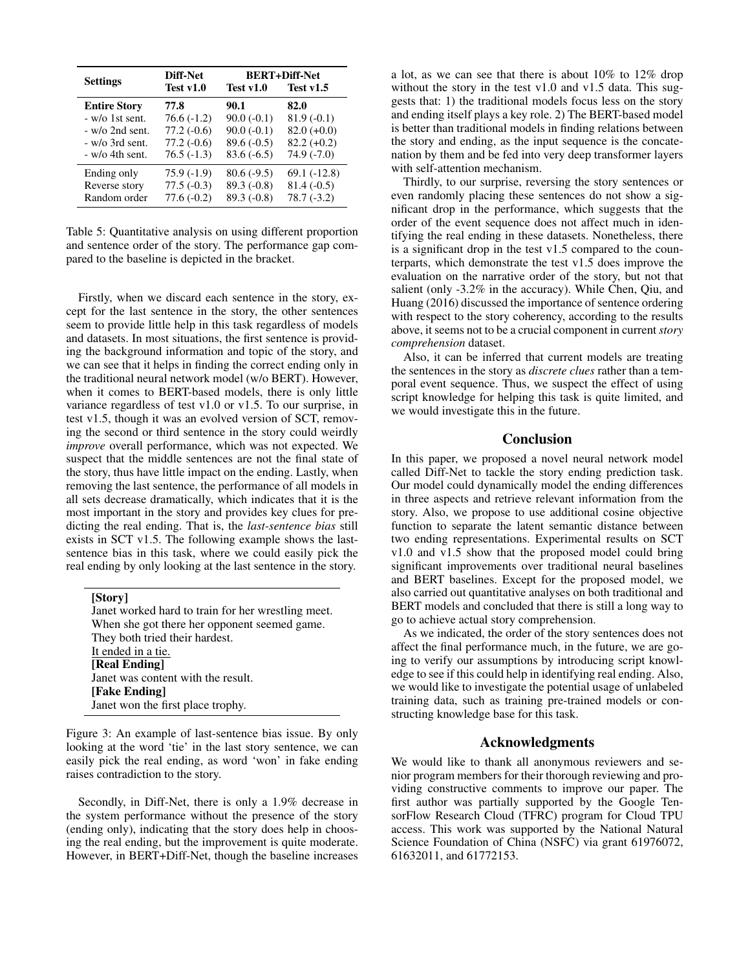| <b>Settings</b>        | Diff-Net     | <b>BERT+Diff-Net</b> |               |
|------------------------|--------------|----------------------|---------------|
|                        | Test v1.0    | Test v1.0            | Test $v1.5$   |
| <b>Entire Story</b>    | 77.8         | 90.1                 | 82.0          |
| - w/o 1st sent.        | $76.6(-1.2)$ | $90.0(-0.1)$         | $81.9(-0.1)$  |
| $-w$ /o 2nd sent.      | $77.2(-0.6)$ | $90.0(-0.1)$         | $82.0 (+0.0)$ |
| $-w$ /o 3rd sent.      | $77.2(-0.6)$ | $89.6(-0.5)$         | $82.2 (+0.2)$ |
| $- w/\sigma$ 4th sent. | $76.5(-1.3)$ | $83.6(-6.5)$         | $74.9(-7.0)$  |
| Ending only            | 75.9 (-1.9)  | $80.6(-9.5)$         | $69.1(-12.8)$ |
| Reverse story          | $77.5(-0.3)$ | $89.3(-0.8)$         | $81.4(-0.5)$  |
| Random order           | $77.6(-0.2)$ | $89.3(-0.8)$         | $78.7(-3.2)$  |

Table 5: Quantitative analysis on using different proportion and sentence order of the story. The performance gap compared to the baseline is depicted in the bracket.

Firstly, when we discard each sentence in the story, except for the last sentence in the story, the other sentences seem to provide little help in this task regardless of models and datasets. In most situations, the first sentence is providing the background information and topic of the story, and we can see that it helps in finding the correct ending only in the traditional neural network model (w/o BERT). However, when it comes to BERT-based models, there is only little variance regardless of test v1.0 or v1.5. To our surprise, in test v1.5, though it was an evolved version of SCT, removing the second or third sentence in the story could weirdly *improve* overall performance, which was not expected. We suspect that the middle sentences are not the final state of the story, thus have little impact on the ending. Lastly, when removing the last sentence, the performance of all models in all sets decrease dramatically, which indicates that it is the most important in the story and provides key clues for predicting the real ending. That is, the *last-sentence bias* still exists in SCT v1.5. The following example shows the lastsentence bias in this task, where we could easily pick the real ending by only looking at the last sentence in the story.

[Story] Janet worked hard to train for her wrestling meet. When she got there her opponent seemed game. They both tried their hardest. It ended in a tie. [Real Ending] Janet was content with the result. [Fake Ending] Janet won the first place trophy.

Figure 3: An example of last-sentence bias issue. By only looking at the word 'tie' in the last story sentence, we can easily pick the real ending, as word 'won' in fake ending raises contradiction to the story.

Secondly, in Diff-Net, there is only a 1.9% decrease in the system performance without the presence of the story (ending only), indicating that the story does help in choosing the real ending, but the improvement is quite moderate. However, in BERT+Diff-Net, though the baseline increases

a lot, as we can see that there is about 10% to 12% drop without the story in the test v1.0 and v1.5 data. This suggests that: 1) the traditional models focus less on the story and ending itself plays a key role. 2) The BERT-based model is better than traditional models in finding relations between the story and ending, as the input sequence is the concatenation by them and be fed into very deep transformer layers with self-attention mechanism.

Thirdly, to our surprise, reversing the story sentences or even randomly placing these sentences do not show a significant drop in the performance, which suggests that the order of the event sequence does not affect much in identifying the real ending in these datasets. Nonetheless, there is a significant drop in the test v1.5 compared to the counterparts, which demonstrate the test v1.5 does improve the evaluation on the narrative order of the story, but not that salient (only -3.2% in the accuracy). While Chen, Qiu, and Huang (2016) discussed the importance of sentence ordering with respect to the story coherency, according to the results above, it seems not to be a crucial component in current*story comprehension* dataset.

Also, it can be inferred that current models are treating the sentences in the story as *discrete clues* rather than a temporal event sequence. Thus, we suspect the effect of using script knowledge for helping this task is quite limited, and we would investigate this in the future.

### Conclusion

In this paper, we proposed a novel neural network model called Diff-Net to tackle the story ending prediction task. Our model could dynamically model the ending differences in three aspects and retrieve relevant information from the story. Also, we propose to use additional cosine objective function to separate the latent semantic distance between two ending representations. Experimental results on SCT v1.0 and v1.5 show that the proposed model could bring significant improvements over traditional neural baselines and BERT baselines. Except for the proposed model, we also carried out quantitative analyses on both traditional and BERT models and concluded that there is still a long way to go to achieve actual story comprehension.

As we indicated, the order of the story sentences does not affect the final performance much, in the future, we are going to verify our assumptions by introducing script knowledge to see if this could help in identifying real ending. Also, we would like to investigate the potential usage of unlabeled training data, such as training pre-trained models or constructing knowledge base for this task.

### Acknowledgments

We would like to thank all anonymous reviewers and senior program members for their thorough reviewing and providing constructive comments to improve our paper. The first author was partially supported by the Google TensorFlow Research Cloud (TFRC) program for Cloud TPU access. This work was supported by the National Natural Science Foundation of China (NSFC) via grant 61976072, 61632011, and 61772153.